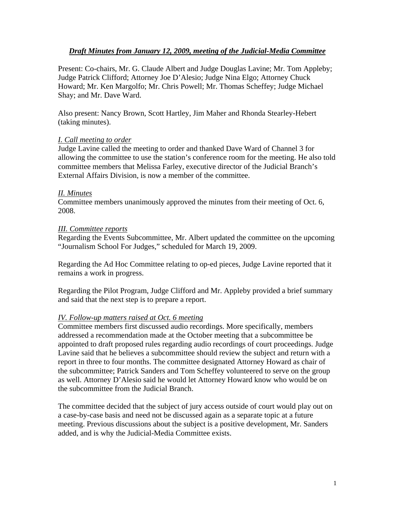# *Draft Minutes from January 12, 2009, meeting of the Judicial-Media Committee*

Present: Co-chairs, Mr. G. Claude Albert and Judge Douglas Lavine; Mr. Tom Appleby; Judge Patrick Clifford; Attorney Joe D'Alesio; Judge Nina Elgo; Attorney Chuck Howard; Mr. Ken Margolfo; Mr. Chris Powell; Mr. Thomas Scheffey; Judge Michael Shay; and Mr. Dave Ward.

Also present: Nancy Brown, Scott Hartley, Jim Maher and Rhonda Stearley-Hebert (taking minutes).

## *I. Call meeting to order*

Judge Lavine called the meeting to order and thanked Dave Ward of Channel 3 for allowing the committee to use the station's conference room for the meeting. He also told committee members that Melissa Farley, executive director of the Judicial Branch's External Affairs Division, is now a member of the committee.

#### *II. Minutes*

Committee members unanimously approved the minutes from their meeting of Oct. 6, 2008.

#### *III. Committee reports*

Regarding the Events Subcommittee, Mr. Albert updated the committee on the upcoming "Journalism School For Judges," scheduled for March 19, 2009.

Regarding the Ad Hoc Committee relating to op-ed pieces, Judge Lavine reported that it remains a work in progress.

Regarding the Pilot Program, Judge Clifford and Mr. Appleby provided a brief summary and said that the next step is to prepare a report.

#### *IV. Follow-up matters raised at Oct. 6 meeting*

Committee members first discussed audio recordings. More specifically, members addressed a recommendation made at the October meeting that a subcommittee be appointed to draft proposed rules regarding audio recordings of court proceedings. Judge Lavine said that he believes a subcommittee should review the subject and return with a report in three to four months. The committee designated Attorney Howard as chair of the subcommittee; Patrick Sanders and Tom Scheffey volunteered to serve on the group as well. Attorney D'Alesio said he would let Attorney Howard know who would be on the subcommittee from the Judicial Branch.

The committee decided that the subject of jury access outside of court would play out on a case-by-case basis and need not be discussed again as a separate topic at a future meeting. Previous discussions about the subject is a positive development, Mr. Sanders added, and is why the Judicial-Media Committee exists.